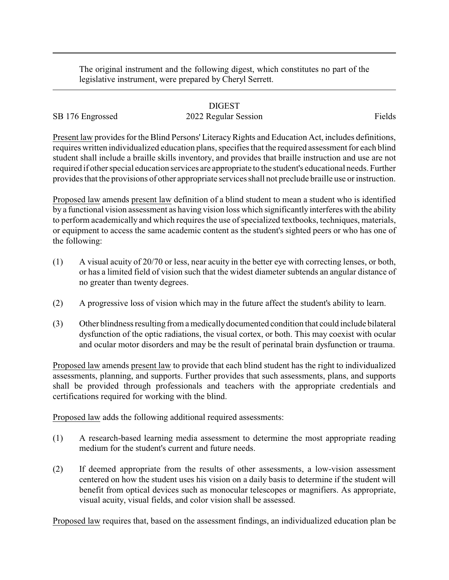The original instrument and the following digest, which constitutes no part of the legislative instrument, were prepared by Cheryl Serrett.

## DIGEST

## SB 176 Engrossed 2022 Regular Session Fields

Present law provides for the Blind Persons' Literacy Rights and Education Act, includes definitions, requires written individualized education plans, specifies that the required assessment for each blind student shall include a braille skills inventory, and provides that braille instruction and use are not required if other special education services are appropriate to the student's educational needs. Further provides that the provisions of other appropriate services shall not preclude braille use or instruction.

Proposed law amends present law definition of a blind student to mean a student who is identified by a functional vision assessment as having vision loss which significantly interferes with the ability to perform academically and which requires the use of specialized textbooks, techniques, materials, or equipment to access the same academic content as the student's sighted peers or who has one of the following:

- (1) A visual acuity of 20/70 or less, near acuity in the better eye with correcting lenses, or both, or has a limited field of vision such that the widest diameter subtends an angular distance of no greater than twenty degrees.
- (2) A progressive loss of vision which may in the future affect the student's ability to learn.
- (3) Other blindness resulting from a medicallydocumented condition that could include bilateral dysfunction of the optic radiations, the visual cortex, or both. This may coexist with ocular and ocular motor disorders and may be the result of perinatal brain dysfunction or trauma.

Proposed law amends present law to provide that each blind student has the right to individualized assessments, planning, and supports. Further provides that such assessments, plans, and supports shall be provided through professionals and teachers with the appropriate credentials and certifications required for working with the blind.

Proposed law adds the following additional required assessments:

- (1) A research-based learning media assessment to determine the most appropriate reading medium for the student's current and future needs.
- (2) If deemed appropriate from the results of other assessments, a low-vision assessment centered on how the student uses his vision on a daily basis to determine if the student will benefit from optical devices such as monocular telescopes or magnifiers. As appropriate, visual acuity, visual fields, and color vision shall be assessed.

Proposed law requires that, based on the assessment findings, an individualized education plan be